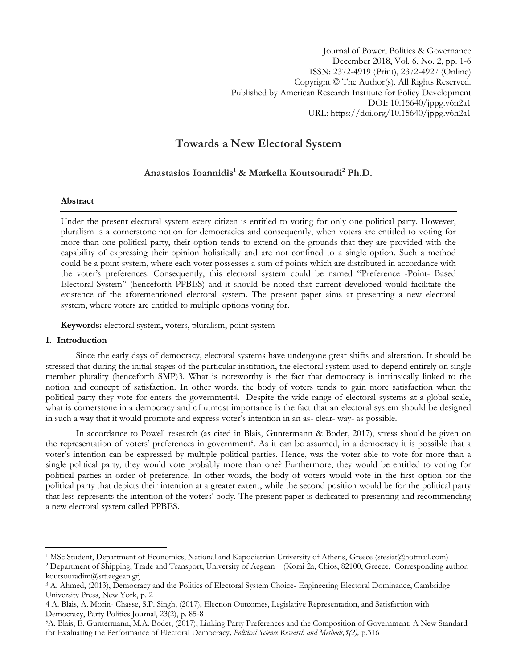# **Towards a New Electoral System**

## **Anastasios Ioannidis<sup>1</sup> & Markella Koutsouradi<sup>2</sup> Ph.D.**

## **Abstract**

Under the present electoral system every citizen is entitled to voting for only one political party. However, pluralism is a cornerstone notion for democracies and consequently, when voters are entitled to voting for more than one political party, their option tends to extend on the grounds that they are provided with the capability of expressing their opinion holistically and are not confined to a single option. Such a method could be a point system, where each voter possesses a sum of points which are distributed in accordance with the voter's preferences. Consequently, this electoral system could be named "Preference -Point- Based Electoral System" (henceforth PPBES) and it should be noted that current developed would facilitate the existence of the aforementioned electoral system. The present paper aims at presenting a new electoral system, where voters are entitled to multiple options voting for.

**Keywords:** electoral system, voters, pluralism, point system

## **1. Introduction**

 $\overline{a}$ 

Since the early days of democracy, electoral systems have undergone great shifts and alteration. It should be stressed that during the initial stages of the particular institution, the electoral system used to depend entirely on single member plurality (henceforth SMP)3. What is noteworthy is the fact that democracy is intrinsically linked to the notion and concept of satisfaction. In other words, the body of voters tends to gain more satisfaction when the political party they vote for enters the government4. Despite the wide range of electoral systems at a global scale, what is cornerstone in a democracy and of utmost importance is the fact that an electoral system should be designed in such a way that it would promote and express voter's intention in an as- clear- way- as possible.

In accordance to Powell research (as cited in Blais, Guntermann & Bodet, 2017), stress should be given on the representation of voters' preferences in government<sup>5</sup> . As it can be assumed, in a democracy it is possible that a voter's intention can be expressed by multiple political parties. Hence, was the voter able to vote for more than a single political party, they would vote probably more than one? Furthermore, they would be entitled to voting for political parties in order of preference. In other words, the body of voters would vote in the first option for the political party that depicts their intention at a greater extent, while the second position would be for the political party that less represents the intention of the voters' body. The present paper is dedicated to presenting and recommending a new electoral system called PPBES.

<sup>1</sup> MSc Student, Department of Economics, National and Kapodistrian University of Athens, Greece (stesiat@hotmail.com)

<sup>2</sup> Department of Shipping, Trade and Transport, University of Aegean (Korai 2a, Chios, 82100, Greece, Corresponding author: koutsouradim@stt.aegean.gr)

<sup>3</sup> A. Ahmed, (2013), Democracy and the Politics of Electoral System Choice- Engineering Electoral Dominance, Cambridge University Press, New York, p. 2

<sup>4</sup> A. Blais, A. Morin- Chasse, S.P. Singh, (2017), Election Outcomes, Legislative Representation, and Satisfaction with Democracy, Party Politics Journal, 23(2), p. 85-8

<sup>5</sup>A. Blais, E. Guntermann, M.A. Bodet, (2017), Linking Party Preferences and the Composition of Government: A New Standard for Evaluating the Performance of Electoral Democracy*, Political Science Research and Methods,5(2),* p.316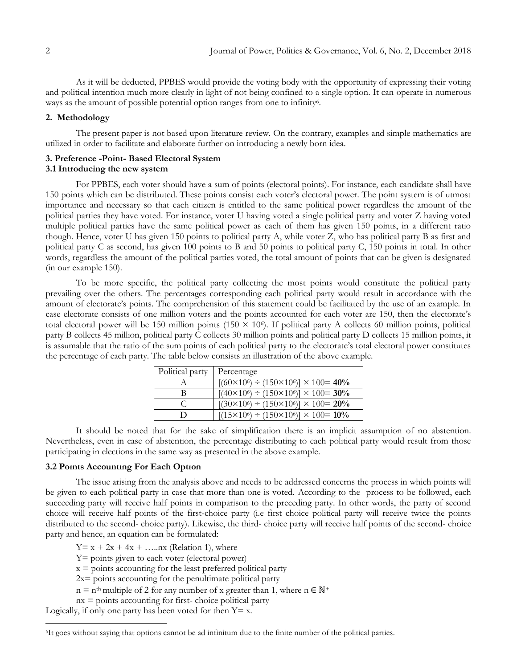As it will be deducted, PPBES would provide the voting body with the opportunity of expressing their voting and political intention much more clearly in light of not being confined to a single option. It can operate in numerous ways as the amount of possible potential option ranges from one to infinity<sup>6</sup>.

### **2. Methodology**

The present paper is not based upon literature review. On the contrary, examples and simple mathematics are utilized in order to facilitate and elaborate further on introducing a newly born idea.

# **3. Preference -Point- Based Electoral System**

## **3.1 Introducing the new system**

For PPBES, each voter should have a sum of points (electoral points). For instance, each candidate shall have 150 points which can be distributed. These points consist each voter's electoral power. The point system is of utmost importance and necessary so that each citizen is entitled to the same political power regardless the amount of the political parties they have voted. For instance, voter U having voted a single political party and voter Z having voted multiple political parties have the same political power as each of them has given 150 points, in a different ratio though. Hence, voter U has given 150 points to political party A, while voter Z, who has political party B as first and political party C as second, has given 100 points to B and 50 points to political party C, 150 points in total. In other words, regardless the amount of the political parties voted, the total amount of points that can be given is designated (in our example 150).

To be more specific, the political party collecting the most points would constitute the political party prevailing over the others. The percentages corresponding each political party would result in accordance with the amount of electorate's points. The comprehension of this statement could be facilitated by the use of an example. In case electorate consists of one million voters and the points accounted for each voter are 150, then the electorate's total electoral power will be 150 million points (150  $\times$  10<sup>6</sup>). If political party A collects 60 million points, political party B collects 45 million, political party C collects 30 million points and political party D collects 15 million points, it is assumable that the ratio of the sum points of each political party to the electorate's total electoral power constitutes the percentage of each party. The table below consists an illustration of the above example.

| Political party | Percentage                                                    |
|-----------------|---------------------------------------------------------------|
|                 | $[(60 \times 10^6) \div (150 \times 10^6)] \times 100 = 40\%$ |
| В               | $[(40 \times 10^6) \div (150 \times 10^6)] \times 100 = 30\%$ |
|                 | $[(30 \times 10^6) \div (150 \times 10^6)] \times 100 = 20\%$ |
|                 | $[(15 \times 10^6) \div (150 \times 10^6)] \times 100 = 10\%$ |

It should be noted that for the sake of simplification there is an implicit assumption of no abstention. Nevertheless, even in case of abstention, the percentage distributing to each political party would result from those participating in elections in the same way as presented in the above example.

## **3.2 Poınts Accountıng For Each Optıon**

The issue arising from the analysis above and needs to be addressed concerns the process in which points will be given to each political party in case that more than one is voted. According to the process to be followed, each succeeding party will receive half points in comparison to the preceding party. In other words, the party of second choice will receive half points of the first-choice party (i.e first choice political party will receive twice the points distributed to the second- choice party). Likewise, the third- choice party will receive half points of the second- choice party and hence, an equation can be formulated:

 $Y = x + 2x + 4x + \dots$ nx (Relation 1), where

Y= points given to each voter (electoral power)

 $x =$  points accounting for the least preferred political party

- $2x =$  points accounting for the penultimate political party
- $n = n<sup>th</sup>$  multiple of 2 for any number of x greater than 1, where  $n \in \mathbb{N}^+$

 $nx =$  points accounting for first-choice political party

Logically, if only one party has been voted for then  $Y=x$ .

 $\overline{a}$ 

<sup>6</sup>It goes without saying that options cannot be ad infinitum due to the finite number of the political parties.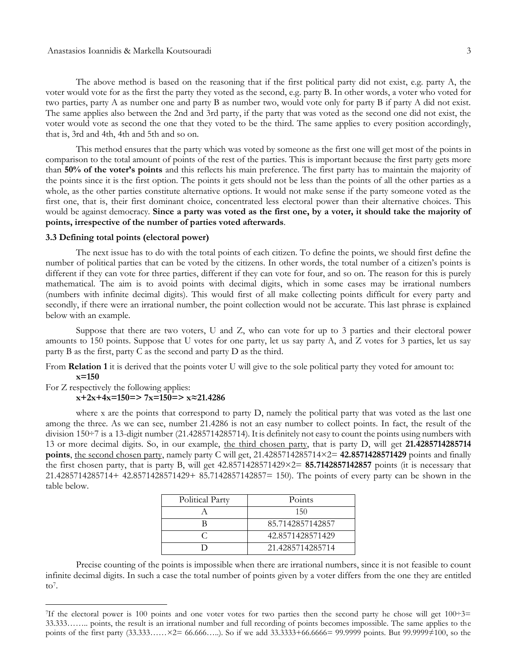The above method is based on the reasoning that if the first political party did not exist, e.g. party A, the voter would vote for as the first the party they voted as the second, e.g. party B. In other words, a voter who voted for two parties, party A as number one and party B as number two, would vote only for party B if party A did not exist. The same applies also between the 2nd and 3rd party, if the party that was voted as the second one did not exist, the voter would vote as second the one that they voted to be the third. The same applies to every position accordingly, that is, 3rd and 4th, 4th and 5th and so on.

This method ensures that the party which was voted by someone as the first one will get most of the points in comparison to the total amount of points of the rest of the parties. This is important because the first party gets more than **50% of the voter's points** and this reflects his main preference. The first party has to maintain the majority of the points since it is the first option. The points it gets should not be less than the points of all the other parties as a whole, as the other parties constitute alternative options. It would not make sense if the party someone voted as the first one, that is, their first dominant choice, concentrated less electoral power than their alternative choices. This would be against democracy. **Since a party was voted as the first one, by a voter, it should take the majority of points, irrespective of the number of parties voted afterwards**.

#### **3.3 Defining total points (electoral power)**

The next issue has to do with the total points of each citizen. To define the points, we should first define the number of political parties that can be voted by the citizens. In other words, the total number of a citizen's points is different if they can vote for three parties, different if they can vote for four, and so on. The reason for this is purely mathematical. The aim is to avoid points with decimal digits, which in some cases may be irrational numbers (numbers with infinite decimal digits). This would first of all make collecting points difficult for every party and secondly, if there were an irrational number, the point collection would not be accurate. This last phrase is explained below with an example.

Suppose that there are two voters, U and Z, who can vote for up to 3 parties and their electoral power amounts to 150 points. Suppose that U votes for one party, let us say party A, and Z votes for 3 parties, let us say party B as the first, party C as the second and party D as the third.

From **Relation 1** it is derived that the points voter U will give to the sole political party they voted for amount to: **x=150**

#### For Z respectively the following applies: **x+2x+4x=150=> 7x=150=> x≈21.4286**

l

where x are the points that correspond to party D, namely the political party that was voted as the last one among the three. As we can see, number 21.4286 is not an easy number to collect points. In fact, the result of the division 150÷7 is a 13-digit number (21.4285714285714). It is definitely not easy to count the points using numbers with 13 or more decimal digits. So, in our example, the third chosen party, that is party D, will get **21.4285714285714 points**, the second chosen party, namely party C will get, 21.4285714285714×2= **42.8571428571429** points and finally the first chosen party, that is party B, will get 42.8571428571429×2= **85.7142857142857** points (it is necessary that 21.4285714285714+ 42.8571428571429+ 85.7142857142857= 150). The points of every party can be shown in the table below.

| Political Party | Points           |
|-----------------|------------------|
|                 | 150              |
|                 | 85.7142857142857 |
|                 | 42.8571428571429 |
|                 | 21.4285714285714 |

Precise counting of the points is impossible when there are irrational numbers, since it is not feasible to count infinite decimal digits. In such a case the total number of points given by a voter differs from the one they are entitled  $\mathrm{to}^7$ .

<sup>&</sup>lt;sup>7</sup>If the electoral power is 100 points and one voter votes for two parties then the second party he chose will get  $100\div 3=$ 33.333…….. points, the result is an irrational number and full recording of points becomes impossible. The same applies to the points of the first party (33.333……×2= 66.666…..). So if we add 33.3333+66.6666= 99.9999 points. But 99.9999≠100, so the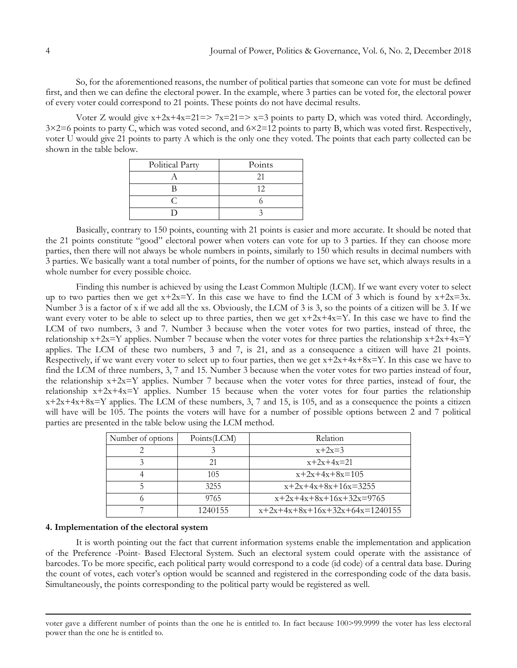So, for the aforementioned reasons, the number of political parties that someone can vote for must be defined first, and then we can define the electoral power. In the example, where 3 parties can be voted for, the electoral power of every voter could correspond to 21 points. These points do not have decimal results.

Voter Z would give  $x+2x+4x=21 \Rightarrow 7x=21 \Rightarrow x=3$  points to party D, which was voted third. Accordingly, 3×2=6 points to party C, which was voted second, and 6×2=12 points to party B, which was voted first. Respectively, voter U would give 21 points to party A which is the only one they voted. The points that each party collected can be shown in the table below.

| Political Party | Points |
|-----------------|--------|
|                 |        |
|                 |        |
|                 |        |
|                 |        |

Basically, contrary to 150 points, counting with 21 points is easier and more accurate. It should be noted that the 21 points constitute "good" electoral power when voters can vote for up to 3 parties. If they can choose more parties, then there will not always be whole numbers in points, similarly to 150 which results in decimal numbers with 3 parties. We basically want a total number of points, for the number of options we have set, which always results in a whole number for every possible choice.

Finding this number is achieved by using the Least Common Multiple (LCM). If we want every voter to select up to two parties then we get  $x+2x=Y$ . In this case we have to find the LCM of 3 which is found by  $x+2x=3x$ . Number 3 is a factor of x if we add all the xs. Obviously, the LCM of 3 is 3, so the points of a citizen will be 3. If we want every voter to be able to select up to three parties, then we get  $x+2x+4x=Y$ . In this case we have to find the LCM of two numbers, 3 and 7. Number 3 because when the voter votes for two parties, instead of three, the relationship  $x+2x=Y$  applies. Number 7 because when the voter votes for three parties the relationship  $x+2x+4x=Y$ applies. The LCM of these two numbers, 3 and 7, is 21, and as a consequence a citizen will have 21 points. Respectively, if we want every voter to select up to four parties, then we get  $x+2x+4x+8x=Y$ . In this case we have to find the LCM of three numbers, 3, 7 and 15. Number 3 because when the voter votes for two parties instead of four, the relationship  $x+2x=Y$  applies. Number 7 because when the voter votes for three parties, instead of four, the relationship  $x+2x+4x=Y$  applies. Number 15 because when the voter votes for four parties the relationship  $x+2x+4x+8x=Y$  applies. The LCM of these numbers, 3, 7 and 15, is 105, and as a consequence the points a citizen will have will be 105. The points the voters will have for a number of possible options between 2 and 7 political parties are presented in the table below using the LCM method.

| Number of options | Points(LCM) | Relation                         |
|-------------------|-------------|----------------------------------|
|                   |             | $x+2x=3$                         |
|                   | 21          | $x+2x+4x=21$                     |
|                   | 105         | $x+2x+4x+8x=105$                 |
|                   | 3255        | $x+2x+4x+8x+16x=3255$            |
|                   | 9765        | $x+2x+4x+8x+16x+32x=9765$        |
|                   | 1240155     | $x+2x+4x+8x+16x+32x+64x=1240155$ |

#### **4. Implementation of the electoral system**

 $\overline{\phantom{a}}$ 

It is worth pointing out the fact that current information systems enable the implementation and application of the Preference -Point- Based Electoral System. Such an electoral system could operate with the assistance of barcodes. To be more specific, each political party would correspond to a code (id code) of a central data base. During the count of votes, each voter's option would be scanned and registered in the corresponding code of the data basis. Simultaneously, the points corresponding to the political party would be registered as well.

voter gave a different number of points than the one he is entitled to. In fact because 100>99.9999 the voter has less electoral power than the one he is entitled to.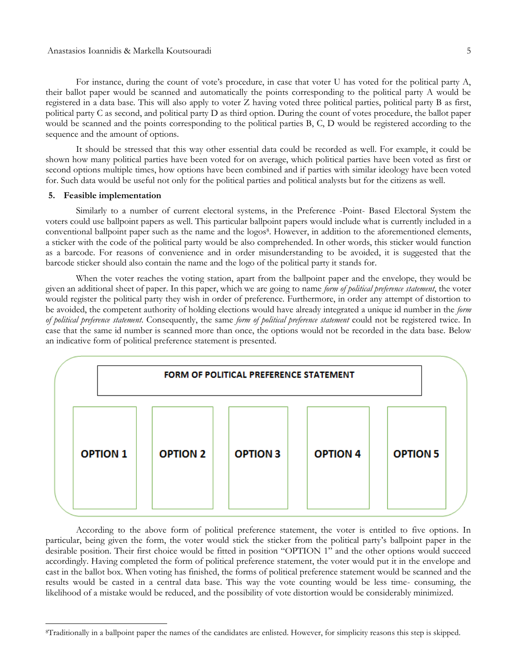For instance, during the count of vote's procedure, in case that voter U has voted for the political party A, their ballot paper would be scanned and automatically the points corresponding to the political party A would be registered in a data base. This will also apply to voter Z having voted three political parties, political party B as first, political party C as second, and political party D as third option. During the count of votes procedure, the ballot paper would be scanned and the points corresponding to the political parties B, C, D would be registered according to the sequence and the amount of options.

It should be stressed that this way other essential data could be recorded as well. For example, it could be shown how many political parties have been voted for on average, which political parties have been voted as first or second options multiple times, how options have been combined and if parties with similar ideology have been voted for. Such data would be useful not only for the political parties and political analysts but for the citizens as well.

#### **5. Feasible implementation**

 $\overline{a}$ 

Similarly to a number of current electoral systems, in the Preference -Point- Based Electoral System the voters could use ballpoint papers as well. This particular ballpoint papers would include what is currently included in a conventional ballpoint paper such as the name and the logos<sup>8</sup>. However, in addition to the aforementioned elements, a sticker with the code of the political party would be also comprehended. In other words, this sticker would function as a barcode. For reasons of convenience and in order misunderstanding to be avoided, it is suggested that the barcode sticker should also contain the name and the logo of the political party it stands for.

When the voter reaches the voting station, apart from the ballpoint paper and the envelope, they would be given an additional sheet of paper. In this paper, which we are going to name *form of political preference statement*, the voter would register the political party they wish in order of preference. Furthermore, in order any attempt of distortion to be avoided, the competent authority of holding elections would have already integrated a unique id number in the *form of political preference statement*. Consequently, the same *form of political preference statement* could not be registered twice. In case that the same id number is scanned more than once, the options would not be recorded in the data base. Below an indicative form of political preference statement is presented.



According to the above form of political preference statement, the voter is entitled to five options. In particular, being given the form, the voter would stick the sticker from the political party's ballpoint paper in the desirable position. Their first choice would be fitted in position "OPTION 1" and the other options would succeed accordingly. Having completed the form of political preference statement, the voter would put it in the envelope and cast in the ballot box. When voting has finished, the forms of political preference statement would be scanned and the results would be casted in a central data base. This way the vote counting would be less time- consuming, the likelihood of a mistake would be reduced, and the possibility of vote distortion would be considerably minimized.

<sup>8</sup>Traditionally in a ballpoint paper the names of the candidates are enlisted. However, for simplicity reasons this step is skipped.